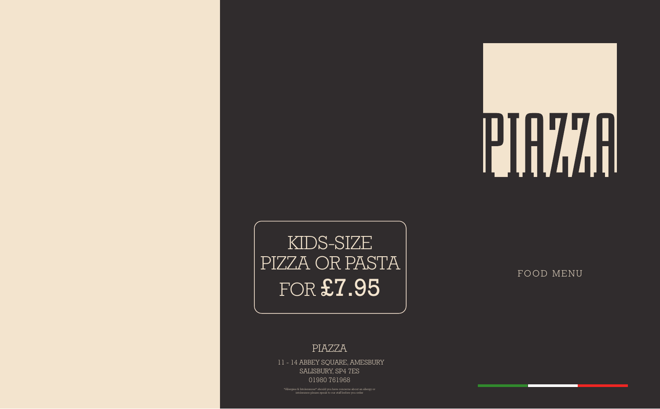### PIAZZA

11 - 14 ABBEY SQUARE, AMESBURY SALISBURY, SP4 7ES 01980 761968

# KIDS-SIZE PIZZA OR PASTA FOR £7.95

FOOD MENU

\*Allergies & Intolerances\* should you have concerns about an allergy or intolerance please speak to our staff before you order

#